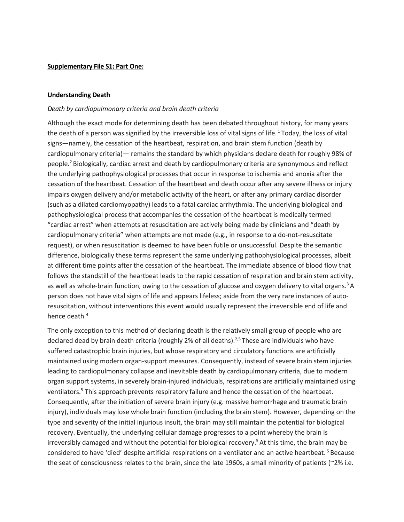#### **Supplementary File S1: Part One:**

#### **Understanding Death**

## *Death by cardiopulmonary criteria and brain death criteria*

Although the exact mode for determining death has been debated throughout history, for many years the death of a person was signified by the irreversible loss of vital signs of life. <sup>1</sup> Today, the loss of vital signs—namely, the cessation of the heartbeat, respiration, and brain stem function (death by cardiopulmonary criteria)— remains the standard by which physicians declare death for roughly 98% of people.2 Biologically, cardiac arrest and death by cardiopulmonary criteria are synonymous and reflect the underlying pathophysiological processes that occur in response to ischemia and anoxia after the cessation of the heartbeat. Cessation of the heartbeat and death occur after any severe illness or injury impairs oxygen delivery and/or metabolic activity of the heart, or after any primary cardiac disorder (such as a dilated cardiomyopathy) leads to a fatal cardiac arrhythmia. The underlying biological and pathophysiological process that accompanies the cessation of the heartbeat is medically termed "cardiac arrest" when attempts at resuscitation are actively being made by clinicians and "death by cardiopulmonary criteria" when attempts are not made (e.g., in response to a do-not-resuscitate request), or when resuscitation is deemed to have been futile or unsuccessful. Despite the semantic difference, biologically these terms represent the same underlying pathophysiological processes, albeit at different time points after the cessation of the heartbeat. The immediate absence of blood flow that follows the standstill of the heartbeat leads to the rapid cessation of respiration and brain stem activity, as well as whole-brain function, owing to the cessation of glucose and oxygen delivery to vital organs.<sup>3</sup> A person does not have vital signs of life and appears lifeless; aside from the very rare instances of autoresuscitation, without interventions this event would usually represent the irreversible end of life and hence death. 4

The only exception to this method of declaring death is the relatively small group of people who are declared dead by brain death criteria (roughly 2% of all deaths).<sup>2,5</sup> These are individuals who have suffered catastrophic brain injuries, but whose respiratory and circulatory functions are artificially maintained using modern organ-support measures. Consequently, instead of severe brain stem injuries leading to cardiopulmonary collapse and inevitable death by cardiopulmonary criteria, due to modern organ support systems, in severely brain-injured individuals, respirations are artificially maintained using ventilators.<sup>5</sup> This approach prevents respiratory failure and hence the cessation of the heartbeat. Consequently, after the initiation of severe brain injury (e.g. massive hemorrhage and traumatic brain injury), individuals may lose whole brain function (including the brain stem). However, depending on the type and severity of the initial injurious insult, the brain may still maintain the potential for biological recovery. Eventually, the underlying cellular damage progresses to a point whereby the brain is irreversibly damaged and without the potential for biological recovery.<sup>5</sup> At this time, the brain may be considered to have 'died' despite artificial respirations on a ventilator and an active heartbeat. <sup>5</sup> Because the seat of consciousness relates to the brain, since the late 1960s, a small minority of patients (~2% i.e.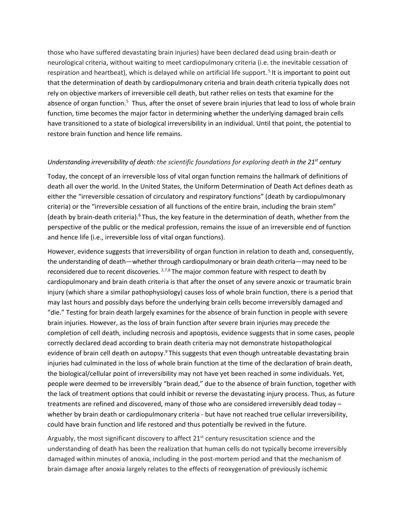those who have suffered devastating brain injuries) have been declared dead using brain-death or neurological criteria, without waiting to meet cardiopulmonary criteria (i.e. the inevitable cessation of respiration and heartbeat), which is delayed while on artificial life support. <sup>5</sup> It is important to point out that the determination of death by cardiopulmonary criteria and brain death criteria typically does not rely on objective markers of irreversible cell death, but rather relies on tests that examine for the absence of organ function.<sup>5</sup> Thus, after the onset of severe brain injuries that lead to loss of whole brain function, time becomes the major factor in determining whether the underlying damaged brain cells have transitioned to a state of biological irreversibility in an individual. Until that point, the potential to restore brain function and hence life remains.

## *Understanding irreversibility of death: the scientific foundations for exploring death in the 21<sup>st</sup> century*

Today, the concept of an irreversible loss of vital organ function remains the hallmark of definitions of death all over the world. In the United States, the Uniform Determination of Death Act defines death as either the "irreversible cessation of circulatory and respiratory functions" (death by cardiopulmonary criteria) or the "irreversible cessation of all functions of the entire brain, including the brain stem" (death by brain-death criteria).<sup>6</sup> Thus, the key feature in the determination of death, whether from the perspective of the public or the medical profession, remains the issue of an irreversible end of function and hence life (i.e., irreversible loss of vital organ functions).

However, evidence suggests that irreversibility of organ function in relation to death and, consequently, the understanding of death—whether through cardiopulmonary or brain death criteria—may need to be reconsidered due to recent discoveries.  $3,7,8$  The major common feature with respect to death by cardiopulmonary and brain death criteria is that after the onset of any severe anoxic or traumatic brain injury (which share a similar pathophysiology) causes loss of whole brain function, there is a period that may last hours and possibly days before the underlying brain cells become irreversibly damaged and "die." Testing for brain death largely examines for the absence of brain function in people with severe brain injuries. However, as the loss of brain function after severe brain injuries may precede the completion of cell death, including necrosis and apoptosis, evidence suggests that in some cases, people correctly declared dead according to brain death criteria may not demonstrate histopathological evidence of brain cell death on autopsy.<sup>9</sup> This suggests that even though untreatable devastating brain injuries had culminated in the loss of whole brain function at the time of the declaration of brain death, the biological/cellular point of irreversibility may not have yet been reached in some individuals. Yet, people were deemed to be irreversibly "brain dead," due to the absence of brain function, together with the lack of treatment options that could inhibit or reverse the devastating injury process. Thus, as future treatments are refined and discovered, many of those who are considered irreversibly dead today – whether by brain death or cardiopulmonary criteria - but have not reached true cellular irreversibility, could have brain function and life restored and thus potentially be revived in the future.

Arguably, the most significant discovery to affect 21<sup>st</sup> century resuscitation science and the understanding of death has been the realization that human cells do not typically become irreversibly damaged within minutes of anoxia, including in the post-mortem period and that the mechanism of brain damage after anoxia largely relates to the effects of reoxygenation of previously ischemic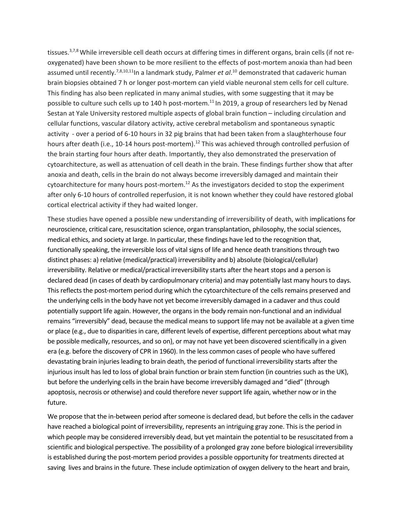tissues.<sup>3,7,8</sup> While irreversible cell death occurs at differing times in different organs, brain cells (if not reoxygenated) have been shown to be more resilient to the effects of post-mortem anoxia than had been assumed until recently.<sup>7,8,10,11</sup>In a landmark study, Palmer *et al*.<sup>10</sup> demonstrated that cadaveric human brain biopsies obtained 7 h or longer post-mortem can yield viable neuronal stem cells for cell culture. This finding has also been replicated in many animal studies, with some suggesting that it may be possible to culture such cells up to 140 h post-mortem.11 In 2019, a group of researchers led by Nenad Sestan at Yale University restored multiple aspects of global brain function – including circulation and cellular functions, vascular dilatory activity, active cerebral metabolism and spontaneous synaptic activity - over a period of 6-10 hours in 32 pig brains that had been taken from a slaughterhouse four hours after death (i.e., 10-14 hours post-mortem).<sup>12</sup> This was achieved through controlled perfusion of the brain starting four hours after death. Importantly, they also demonstrated the preservation of cytoarchitecture, as well as attenuation of cell death in the brain. These findings further show that after anoxia and death, cells in the brain do not always become irreversibly damaged and maintain their cytoarchitecture for many hours post-mortem.<sup>12</sup> As the investigators decided to stop the experiment after only 6-10 hours of controlled reperfusion, it is not known whether they could have restored global cortical electrical activity if they had waited longer.

These studies have opened a possible new understanding of irreversibility of death, with implications for neuroscience, critical care, resuscitation science, organ transplantation, philosophy, the social sciences, medical ethics, and society at large. In particular, these findings have led to the recognition that, functionally speaking, the irreversible loss of vital signs of life and hence death transitions through two distinct phases: a) relative (medical/practical) irreversibility and b) absolute (biological/cellular) irreversibility. Relative or medical/practical irreversibility starts after the heart stops and a person is declared dead (in cases of death by cardiopulmonary criteria) and may potentially last many hours to days. This reflects the post-mortem period during which the cytoarchitecture of the cells remains preserved and the underlying cells in the body have not yet become irreversibly damaged in a cadaver and thus could potentially support life again. However, the organs in the body remain non-functional and an individual remains "irreversibly" dead, because the medical means to support life may not be available at a given time or place (e.g., due to disparities in care, different levels of expertise, different perceptions about what may be possible medically, resources, and so on), or may not have yet been discovered scientifically in a given era (e.g. before the discovery of CPR in 1960). In the less common cases of people who have suffered devastating brain injuries leading to brain death, the period of functional irreversibility starts after the injurious insult has led to loss of global brain function or brain stem function (in countries such as the UK), but before the underlying cells in the brain have become irreversibly damaged and "died" (through apoptosis, necrosis or otherwise) and could therefore never support life again, whether now or in the future.

We propose that the in-between period after someone is declared dead, but before the cells in the cadaver have reached a biological point of irreversibility, represents an intriguing gray zone. This is the period in which people may be considered irreversibly dead, but yet maintain the potential to be resuscitated from a scientific and biological perspective. The possibility of a prolonged gray zone before biological irreversibility is established during the post-mortem period provides a possible opportunity for treatments directed at saving lives and brains in the future. These include optimization of oxygen delivery to the heart and brain,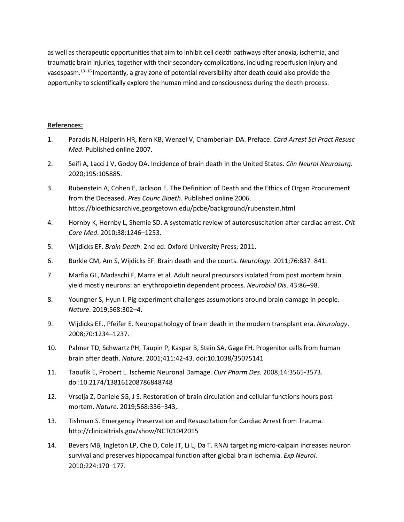as well as therapeutic opportunities that aim to inhibit cell death pathways after anoxia, ischemia, and traumatic brain injuries, together with their secondary complications, including reperfusion injury and vasospasm.13–16 Importantly, a gray zone of potential reversibility after death could also provide the opportunity to scientifically explore the human mind and consciousness during the death process.

# **References:**

- 1. Paradis N, Halperin HR, Kern KB, Wenzel V, Chamberlain DA. Preface. *Card Arrest Sci Pract Resusc Med*. Published online 2007.
- 2. Seifi A, Lacci J V, Godoy DA. Incidence of brain death in the United States. *Clin Neurol Neurosurg*. 2020;195:105885.
- 3. Rubenstein A, Cohen E, Jackson E. The Definition of Death and the Ethics of Organ Procurement from the Deceased. *Pres Counc Bioeth*. Published online 2006. https://bioethicsarchive.georgetown.edu/pcbe/background/rubenstein.html
- 4. Hornby K, Hornby L, Shemie SD. A systematic review of autoresuscitation after cardiac arrest. *Crit Care Med*. 2010;38:1246–1253.
- 5. Wijdicks EF. *Brain Death*. 2nd ed. Oxford University Press; 2011.
- 6. Burkle CM, Am S, Wijdicks EF. Brain death and the courts. *Neurology*. 2011;76:837–841.
- 7. Marfia GL, Madaschi F, Marra et al. Adult neural precursors isolated from post mortem brain yield mostly neurons: an erythropoietin dependent process. *Neurobiol Dis*. 43:86–98.
- 8. Youngner S, Hyun I. Pig experiment challenges assumptions around brain damage in people. *Nature*. 2019;568:302–4.
- 9. Wijdicks EF., Pfeifer E. Neuropathology of brain death in the modern transplant era. *Neurology*. 2008;70:1234–1237.
- 10. Palmer TD, Schwartz PH, Taupin P, Kaspar B, Stein SA, Gage FH. Progenitor cells from human brain after death. *Nature*. 2001;411:42-43. doi:10.1038/35075141
- 11. Taoufik E, Probert L. Ischemic Neuronal Damage. *Curr Pharm Des*. 2008;14:3565-3573. doi:10.2174/138161208786848748
- 12. Vrselja Z, Daniele SG, J S. Restoration of brain circulation and cellular functions hours post mortem. *Nature*. 2019;568:336–343,.
- 13. Tishman S. Emergency Preservation and Resuscitation for Cardiac Arrest from Trauma. http://clinicaltrials.gov/show/NCT01042015
- 14. Bevers MB, Ingleton LP, Che D, Cole JT, Li L, Da T. RNAi targeting micro-calpain increases neuron survival and preserves hippocampal function after global brain ischemia. *Exp Neurol*. 2010;224:170–177.